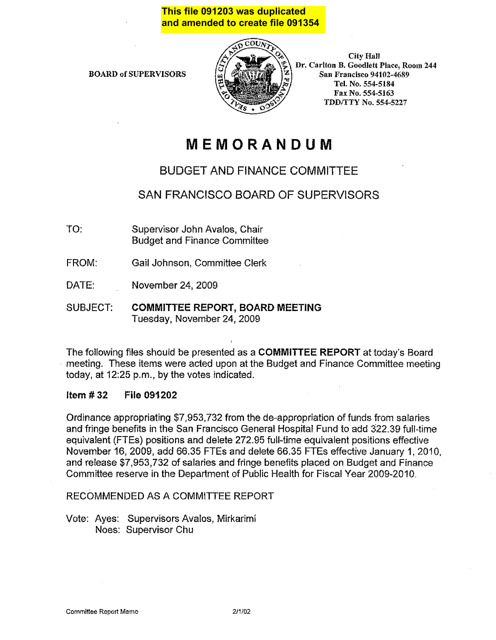## **This file 091203 was duplicated and amended to create file 091354**

BOARD of SlJPERVISORS



**City Hall** Dr. Carlton B. Goodlett Place, Room 244 San Francisco 94102-4689 Tel. No. 554-5184 Fax No. 554-5163 **TDD/TTY No. 554-5227** 

# **MEMORANDUM**

# BUDGET AND FINANCE COMMITTEE

# SAN FRANCISCO BOARD OF SUPERVISORS

- TO: Supervisor John Avalos, Chair Budget and Finance Committee
- FROM: Gail Johnson, Committee Clerk
- DATE: November 24, 2009
- SUBJECT: COMMITTEE REPORT, BOARD MEETING Tuesday, November24,2009

The following files should be presented as a COMMITTEE REPORT at today's Board meeting. These items were acted upon at the Budget and Finance Committee meeting today, at 12:25 p.m., by the votes indicated.

### Item# 32 File 091202

Ordinance appropriating \$7,953,732 from the de-appropriation of funds from salaries and fringe benefits in the San Francisco General Hospital Fund to add 322.39 full-time equivalent (FTEs) positions and delete 272.95 full-time equivalent positions effective November 16, 2009, add 66.35 FTEs and delete 66.35 FTEs effective January 1, 2010, and release \$7,953,732 of salaries and fringe benefits placed on Budget and Finance Committee reserve in the Department of Public Health for Fiscal Year 2009-2010.

### RECOMMENDED AS A COMMITTEE REPORT

Vote: Ayes: Supervisors Avalos, Mirkarimi Noes: Supervisor Chu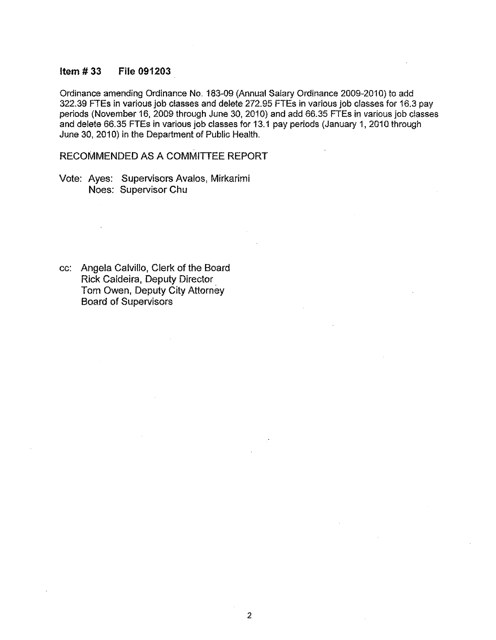### **Item # 33 File 091203**

Ordinance amending Ordinance No. 183-09 (Annual Salary Ordinance 2009-2010) to add 322.39 FTEs in various job classes and delete 272.95 FTEs in various job classes for 16.3 pay periods (November 16, 2009 through June 30, 2010) and add 66.35 FTEs in various job classes and delete 66.35 FTEs in various job classes for 13.1 pay periods (January 1, 2010 through June 30, 2010) in the Department of Public Health.

2

RECOMMENDED AS A COMMITTEE REPORT

Vote: Ayes: Supervisors Avalos, Mirkarimi Noes: Supervisor Chu

cc: Angela Calvillo, Clerk of the Board Rick Caldeira, Deputy Director Tom Owen, Deputy City Attorney Board of Supervisors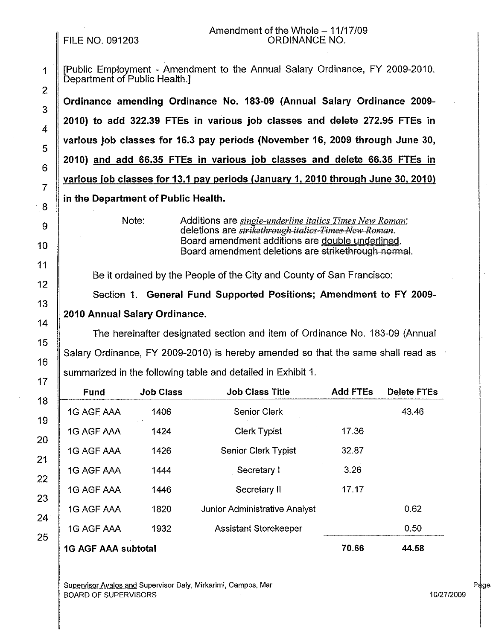# FILE NO. 091203

### Amendment of the Whole  $-11/17/09$ ORDINANCE NO.

| 1<br>$\overline{a}$ | [Public Employment - Amendment to the Annual Salary Ordinance, FY 2009-2010.<br>Department of Public Health.]                                                                                                                                      |
|---------------------|----------------------------------------------------------------------------------------------------------------------------------------------------------------------------------------------------------------------------------------------------|
| 3                   | Ordinance amending Ordinance No. 183-09 (Annual Salary Ordinance 2009-                                                                                                                                                                             |
| 4                   | 2010) to add 322.39 FTEs in various job classes and delete 272.95 FTEs in                                                                                                                                                                          |
| 5                   | various job classes for 16.3 pay periods (November 16, 2009 through June 30,                                                                                                                                                                       |
| 6                   | 2010) and add 66.35 FTEs in various job classes and delete 66.35 FTEs in                                                                                                                                                                           |
| $\overline{7}$      | various job classes for 13.1 pay periods (January 1, 2010 through June 30, 2010)                                                                                                                                                                   |
|                     | in the Department of Public Health.                                                                                                                                                                                                                |
| 8<br>9<br>0         | Note:<br>Additions are <i>single-underline italics Times New Roman</i> ;<br>deletions are <i>strikethrough italics Times New Roman</i> .<br>Board amendment additions are double underlined.<br>Board amendment deletions are strikethrough normal |

Be it ordained by the People of the City and County of San Francisco:

Section 1. **General Fund Supported Positions; Amendment to FY 2009- 2010 Annual Salary Ordinance.** 

The hereinafter designated section and item of Ordinance No. 183-09 (Annual Salary Ordinance, FY 2009-2010) is hereby amended so that the same shall read as summarized in the following table and detailed in Exhibit 1.

| Fund                       | <b>Job Class</b> | <b>Job Class Title</b>        | <b>Add FTEs</b> | <b>Delete FTEs</b> |
|----------------------------|------------------|-------------------------------|-----------------|--------------------|
| 1G AGF AAA                 | 1406             | <b>Senior Clerk</b>           |                 | 43.46              |
| 1G AGF AAA                 | 1424             | <b>Clerk Typist</b>           | 17.36           |                    |
| 1G AGF AAA                 | 1426             | <b>Senior Clerk Typist</b>    | 32.87           |                    |
| 1G AGF AAA                 | 1444             | Secretary I                   | 3.26            |                    |
| 1G AGF AAA                 | 1446             | Secretary II                  | 17.17           |                    |
| 1G AGF AAA                 | 1820             | Junior Administrative Analyst |                 | 0.62               |
| 1G AGF AAA                 | 1932             | <b>Assistant Storekeeper</b>  |                 | 0.50               |
| <b>1G AGF AAA subtotal</b> |                  |                               | 70.66           | 44.58              |

Supervisor Avalos and Supervisor Daly, Mirkarimi, Campos, Mar BOARD OF SUPERVISORS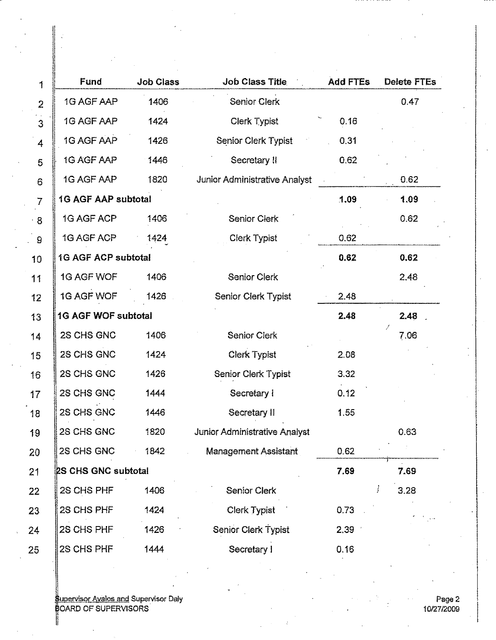| 1              | Fund                       | <b>Job Class</b> | <b>Job Class Title</b>               | <b>Add FTEs</b> | <b>Delete FTEs</b> |
|----------------|----------------------------|------------------|--------------------------------------|-----------------|--------------------|
| $\overline{2}$ | 1G AGF AAP                 | 1406             | <b>Senior Clerk</b>                  |                 | 0.47               |
| $\sim$<br>3    | 1G AGF AAP                 | 1424             | Clerk Typist                         | 0.16            |                    |
| 4              | 1G AGF AAP                 | 1426             | <b>Senior Clerk Typist</b>           | 0.31            |                    |
| 5              | 1G AGF AAP                 | 1446             | Secretary II                         | 0.62            |                    |
| 6              | 1G AGF AAP                 | 1820             | Junior Administrative Analyst        |                 | 0.62               |
| $\overline{I}$ | <b>1G AGF AAP subtotal</b> |                  |                                      | 1.09            | 1.09               |
| $\cdot$ 8      | 1G AGF ACP                 | 1406             | <b>Senior Clerk</b>                  |                 | 0.62               |
| $\mathsf g$    | 1G AGF ACP                 | 1424             | <b>Clerk Typist</b>                  | 0.62            |                    |
| 10             | <b>1G AGF ACP subtotal</b> |                  |                                      | 0.62            | 0.62               |
| 11             | 1G AGF WOF                 | 1406             | <b>Senior Clerk</b>                  |                 | 2.48               |
| 12             | 1G AGF WOF                 | 1426             | <b>Senior Clerk Typist</b>           | 2.48            |                    |
| 13             | 1G AGF WOF subtotal        |                  |                                      | 2.48            | 2.48               |
| 14             | 2S CHS GNC                 | 1406             | <b>Senior Clerk</b>                  |                 | 7.06               |
| 15             | 2S CHS GNC                 | 1424             | <b>Clerk Typist</b>                  | 2.08            |                    |
| 16             | 2S CHS GNC                 | 1426             | Senior Clerk Typist                  | 3.32            |                    |
| 17             | 2S CHS GNC                 | 1444             | Secretary I                          | 0.12            |                    |
| 18             | 2S CHS GNC                 | 1446             | Secretary II                         | 1.55            |                    |
| 19             | 2S CHS GNC                 | 1820             | <b>Junior Administrative Analyst</b> |                 | 0.63               |
| 20             | 2S CHS GNC                 | 1842             | Management Assistant                 | 0.62            |                    |
| 21             | 2S CHS GNC subtotal        |                  |                                      | 7.69            | 7.69               |
| 22             | 2S CHS PHF                 | 1406             | Senior Clerk                         |                 | j<br>3.28          |
| 23             | 2S CHS PHF                 | 1424             | Clerk Typist                         | 0.73            |                    |
| 24             | 2S CHS PHF                 | 1426             | Senior Clerk Typist                  | 2.39            |                    |
| 25             | 2S CHS PHF                 | 1444             | Secretary I                          | 0.16            |                    |

upervisor Avalos and Supervisor Daly OARD OF SUPERVISORS

I

 $\ddot{r}$ 

I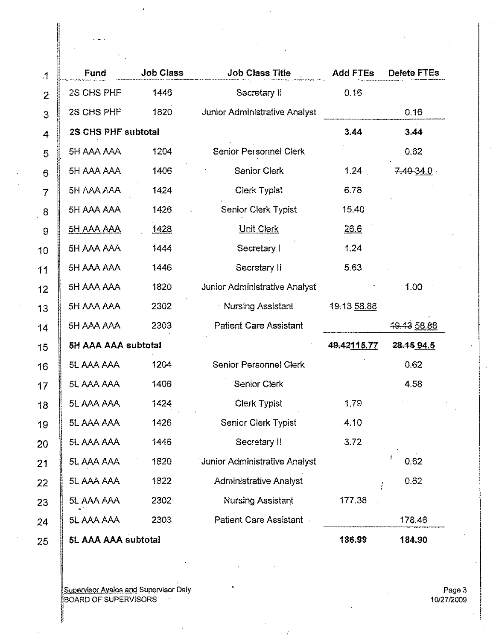| $\cdot$ 1      | Fund                | <b>Job Class</b> | <b>Job Class Title</b>        | <b>Add FTEs</b> | Delete FTEs |
|----------------|---------------------|------------------|-------------------------------|-----------------|-------------|
| $\overline{2}$ | 2S CHS PHF          | 1446             | Secretary II                  | 0.16            |             |
| 3              | 2S CHS PHF          | 1820             | Junior Administrative Analyst |                 | 0.16        |
| 4              | 2S CHS PHF subtotal |                  |                               | 3.44            | 3.44        |
| 5              | 5H AAA AAA          | 1204             | <b>Senior Personnel Clerk</b> |                 | 0.62        |
| 6              | 5H AAA AAA          | 1406             | Senior Clerk                  | 1.24            | 740-34.0    |
| $\overline{7}$ | 5H AAA AAA          | 1424             | <b>Clerk Typist</b>           | 6.78            |             |
| 8              | 5H AAA AAA          | 1426             | Senior Clerk Typist           | 15,40           |             |
| 9              | 5H AAA AAA          | 1428             | <b>Unit Clerk</b>             | 26.6            |             |
| 10             | 5H AAA AAA          | 1444             | Secretary I                   | 1.24            |             |
| 11             | 5H AAA AAA          | 1446             | Secretary II                  | 5.63            |             |
| $12 \,$        | 5H AAA AAA          | 1820             | Junior Administrative Analyst |                 | 1.00        |
| 13             | 5H AAA AAA          | 2302             | <b>Nursing Assistant</b>      | 49.43 58.88     |             |
| 14             | 5H AAA AAA          | 2303             | <b>Patient Care Assistant</b> |                 | 19.13 58.88 |
| 15             | 5H AAA AAA subtotal |                  |                               | 49.42115.77     | 28.15 94.5  |
| 16             | 5L AAA AAA          | 1204             | Senior Personnel Clerk        |                 | 0.62        |
| 17             | 5L AAA AAA          | 1406             | Senior Clerk                  |                 | 4.58        |
| 18             | 5L AAA AAA          | 1424             | <b>Clerk Typist</b>           | 179             |             |
| 19             | 5L AAA AAA          | 1426             | Senior Clerk Typist           | 4.10            |             |
| 20             | 5L AAA AAA          | 1446             | Secretary II                  | 3.72            |             |
| 21             | 5L AAA AAA          | 1820             | Junior Administrative Analyst |                 | 0.62        |
| 22             | 5L AAA AAA          | 1822             | Administrative Analyst        | ł               | 0.62        |
| 23             | 5L AAA AAA          | 2302             | <b>Nursing Assistant</b>      | 177.38          |             |
| 24             | 5L AAA AAA          | 2303             | Patient Care Assistant .      |                 | 178,46      |
| 25             | 5L AAA AAA subtotal |                  |                               | 186,99          | 184.90      |

Supervisor Avalos and Supervisor Daly !BOARD OF SUPERVISORS ·

Page 3 10/27/2009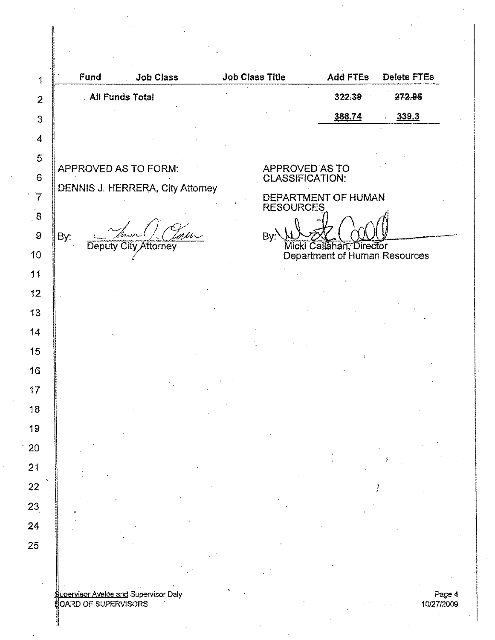|     | Fund | <b>All Funds Total</b> | <b>Job Class</b>                        | <b>Job Class Title</b>                  | <b>Add FTEs</b><br>322.39                                 | <b>Delete FTEs</b><br>272.95 |  |
|-----|------|------------------------|-----------------------------------------|-----------------------------------------|-----------------------------------------------------------|------------------------------|--|
|     |      |                        |                                         |                                         |                                                           |                              |  |
|     |      |                        |                                         |                                         | 388.74                                                    | 339.3                        |  |
|     |      |                        |                                         |                                         |                                                           |                              |  |
|     |      | APPROVED AS TO FORM:   |                                         | <b>APPROVED AS TO</b>                   |                                                           |                              |  |
|     |      |                        | <b>DENNIS J. HERRERA, City Attorney</b> | CLASSIFICATION:                         |                                                           |                              |  |
|     |      |                        |                                         | DEPARTMENT OF HUMAN<br><b>RESOURCES</b> |                                                           |                              |  |
|     |      |                        |                                         |                                         |                                                           |                              |  |
| By: |      |                        |                                         | By:                                     |                                                           |                              |  |
|     |      | Deputy City Attorney   |                                         |                                         | Micki Callahan, Director<br>Department of Human Resources |                              |  |
|     |      |                        |                                         |                                         |                                                           |                              |  |
|     |      |                        |                                         |                                         |                                                           |                              |  |
|     |      |                        |                                         |                                         |                                                           |                              |  |
|     |      |                        |                                         |                                         |                                                           |                              |  |
|     |      |                        |                                         |                                         |                                                           |                              |  |
|     |      |                        |                                         |                                         |                                                           |                              |  |
|     |      |                        |                                         |                                         |                                                           |                              |  |
|     |      |                        |                                         |                                         |                                                           |                              |  |
|     |      |                        |                                         |                                         |                                                           |                              |  |
|     |      |                        |                                         |                                         |                                                           |                              |  |
|     |      |                        |                                         |                                         |                                                           |                              |  |
|     |      |                        |                                         |                                         |                                                           |                              |  |
|     |      |                        |                                         |                                         |                                                           |                              |  |
|     |      |                        |                                         |                                         |                                                           |                              |  |
|     |      |                        |                                         |                                         |                                                           |                              |  |
|     |      |                        |                                         |                                         |                                                           |                              |  |
|     |      |                        |                                         |                                         |                                                           |                              |  |

 $\boldsymbol{4}$ 10/2712009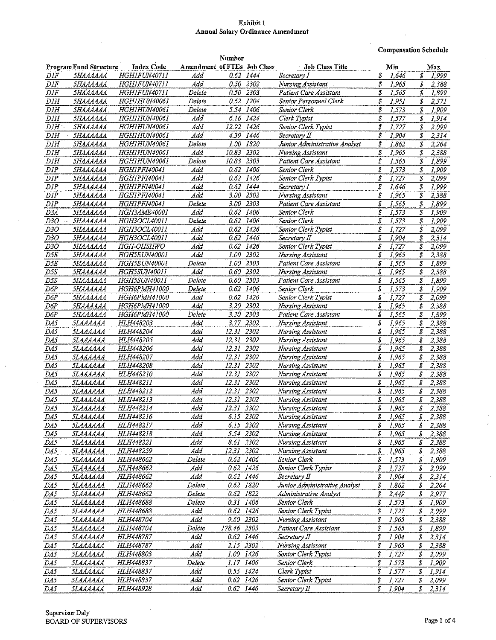### Exhibit 1 **Annual Salary Ordinance Amendment**

**Compensation Schedule** 

 $\bar{z}$ 

 $\hat{\mathcal{L}}$ 

|                  |                                                    |                     |                             | Number        |               |                               |                          |                                   |
|------------------|----------------------------------------------------|---------------------|-----------------------------|---------------|---------------|-------------------------------|--------------------------|-----------------------------------|
|                  | <b>ProgramFund Structure</b>                       | <b>Index Code</b>   | Amendment of FTEs Job Class |               |               | <b>Job Class Title</b>        | Min                      | Max                               |
| DIF              | <i><b>5НАААААА</b></i>                             | HGHIFUN40711        | Add                         |               | 0.62 1444     | Secretary I                   | Ŝ<br>1,646               | \$<br>1,999                       |
| DIF              | <b><i><u><i>5НАААААА</i></u></i></b>               | HGHIFUN40711        | Add                         | 0.50          | 2302          | Nursing Assistant             | S<br>1.965               | \$<br>2,388                       |
|                  | <b><i><u><i><u>БНАААААА</u></i></u></i></b>        |                     |                             |               |               |                               | \$                       |                                   |
| $_{\it{DIF}}$    |                                                    | HGH1FUN40711        | Delete                      |               | 0.50 2303     | Patient Care Assistant        | 1.565                    | \$<br>1,899                       |
| DIH              | 5НАААААА                                           | HGH1HUN40061        | Delete                      | 0.62          | 1204          | Senior Personnel Clerk        | S<br>1,951               | \$<br>2,371                       |
| DIH              | 5НАААААА                                           | HGH1HUN40061        | Delete                      |               | 5.54 1406     | Senior Clerk                  | \$<br>1,573              | \$<br>1,909                       |
| DIH              | <b>5НАААААА</b>                                    | HGH1HUN4006I        | Add                         | 6.16          | 1424          | Clerk Typist                  | \$<br>1,577              | \$<br>1,914                       |
| $DIH^+$          | SHAAAAAA                                           | HGH1HUN40061        | Add                         | 12.92         | 1426          | Senior Clerk Typist           | \$<br>1,727              | S<br>2,099                        |
| DIH              | <b><i><u><i><u><b>SHAAAAAA</b></u></i></u></i></b> | HGH1HUN40061        | Add                         | 4.39          | 1446          | Secretary II                  | \$<br>1,904              | \$<br>2,314                       |
| DIH              | <b>5НАААААА</b>                                    | <b>HGH1HUN40061</b> | Delete                      | 1.00          | 1820          | Junior Administrative Analyst | \$<br>1,862              | \$<br>2,264                       |
| DIH              | <b>5НАААААА</b>                                    | HGH1HUN40061        | Add                         | 10.83         | 2302          | Nursing Assistant             | \$<br>1,965              | S<br>2,388                        |
| $\overline{DIH}$ |                                                    |                     |                             |               |               |                               |                          |                                   |
|                  | <i><b>5НАААААА</b></i>                             | HGH1HUN40061        | Delete                      | 10.83         | 2303          | Patient Care Assistant        | Ŝ<br>1,565               | S<br>1,899                        |
| DIP              | <b><i><u><i><u><b>5НАААААА</b></u></i></u></i></b> | HGH1PF140041        | Add                         | 0.62          | 1406          | Senior Clerk                  | S<br>1,573               | \$<br>1,909                       |
| DIP              | <i><b>5НАААААА</b></i>                             | HGH1PFI40041        | Add                         | 0.62          | 1426          | Senior Clerk Typist           | \$<br>1,727              | \$<br>2,099                       |
| DIP              | SHAAAAAA                                           | HGH1PFI40041        | Add                         | 0.62          | 1444          | Secretary I                   | \$<br>1,646              | \$<br>1,999                       |
| DIP              | <b>5НАААААА</b>                                    | HGHIPFI40041        | Add                         | 3.00          | 2302          | Nursing Assistant             | \$<br>1.965              | \$<br>2,388                       |
| DIP              | <b><i><u>5НАААААА</u></i></b>                      | HGHIPFI40041        | Delete                      | 3.00          | 2303          | Patient Care Assistant        | Ŝ<br>1,565               | \$<br>1,899                       |
| D3A              | <i><b>5НАААААА</b></i>                             | HGH3AME40001        | Add                         | 0.62          | 1406          | Senior Clerk                  | \$<br>1,573              | \$<br>1,909                       |
| D30              | <b>5НАААААА</b>                                    | HGH3OCL40011        | Delete                      | 0.62          | 1406          | Senior Clerk                  | \$<br>1,573              | \$<br>1,909                       |
| D3O              | <i><b>5НАЛАААА</b></i>                             | <b>HGH3OCL40011</b> | Add                         | 0.62          | 1426          | Senior Clerk Typist           | \$<br>1,727              | \$<br>2,099                       |
|                  |                                                    |                     |                             | 0.62          |               |                               | \$                       | \$                                |
| D3O              | <b><i><u> 5НАЛАААА</u></i></b>                     | HGH3OCL40011        | Add                         |               | 1446          | Secretary II                  | 1,904                    | 2,314                             |
| D3O              | <i><b>5НАААААА</b></i>                             | HGH-OHSHWO          | Add                         |               | 0.62 1426     | Senior Clerk Typist           | \$<br>1,727              | \$<br>2,099                       |
| D5E              | <b>5НАААААА</b>                                    | HGH5EUN40001        | Add                         | 1.00          | 2302          | Nursing Assistant             | \$<br>1,965              | S<br>2,388                        |
| D5E              | <b><i><u>5НАААААА</u></i></b>                      | HGH5EUN40001        | Delete                      | 1.00          | 2303          | Patient Care Assistant        | S<br>1,565               | \$<br>1,899                       |
| D5S              | SHAAAAAA                                           | HGH5SUN40011        | Add                         | 0.60          | 2302          | Nursing Assistant             | \$<br>1,965              | S<br>2,388                        |
| DSS              | <b><i><u> SHAAAAAA</u></i></b>                     | <i>HGH5SUN40011</i> | Delete                      | 0.60          | 2303          | Patient Care Assistant        | S<br>1,565               | s<br>1,899                        |
| D6P              | <b><i><u> SHAAAAAA</u></i></b>                     | HGH6PMH41000        | Delete                      | 0.62          | 1406          | Senior Clerk                  | \$<br>1,573              | \$<br>1,909                       |
| D6P              | <i><b>5НАААААА</b></i>                             | HGH6PMH41000        | Add                         | 0.62          | 1426          | Senior Clerk Typist           | \$<br>1,727              | \$<br>2,099                       |
| D6P              | <i><b>5НАААААА</b></i>                             | HGH6PMH41000        | Add                         | 3.20          | 2302          | Nursing Assistant             | \$<br>1.965              | \$<br>2,388                       |
| D6P              | <i><b>5НАААААА</b></i>                             | HGH6PMH41000        | Delete                      | 3.20 2303     |               | Patient Care Assistant        | \$<br>1,565              | \$<br>1,899                       |
|                  |                                                    | HLH448203           | Add                         | 3.77          | 2302          |                               | \$<br>1,965              | S                                 |
| DA5              | SLAAAAAA                                           |                     |                             |               |               | Nursing Assistant             |                          | 2,388                             |
| DA5              | SLAAAAAA                                           | HLH448204           | Add                         | 12.31         | 2302          | Nursing Assistant             | \$<br>1,965              | \$<br>2,388                       |
| DA5              | SLAAAAAA                                           | HLH448205           | Add                         | 12.31         | 2302          | Nursing Assistant             | S<br>1,965               | \$<br>2,388                       |
| DA5              | SLAAAAAA                                           | HLH448206           | Add                         | 12.31         | 2302          | Nursing Assistant             | S<br>1,965               | \$<br>2,388                       |
| DA5              | SLAAAAAA                                           | HLH448207           | Add                         | 12.31         | 2302          | Nursing Assistant             | \$<br>1.965              | \$<br>2,388                       |
| DA5              | 5LAAAAAA                                           | HLH448208           | Add                         | 12.31         | 2302          | Nursing Assistant             | \$<br>1.965              | \$<br>2,388                       |
| DA5              | 5LAAAAAA                                           | HLH448210           | Add                         | 12.31         | 2302          | Nursing Assistant             | S<br>1,965               | \$<br>2,388                       |
| DA5              | <i><b>5LAAAAAA</b></i>                             | HLH448211           | Add                         | 12.31         | 2302          | Nursing Assistant             | \$<br>1,965              | s<br>2,388                        |
| DA5              | <i><b>SLAAAAAA</b></i>                             | HLH448212           | Add                         | 12.31         | 2302          | Nursing Assistant             | \$<br>1,965              | \$<br>2,388                       |
| $\overline{DAS}$ | SLAAAAAA                                           | HLH448213           | Add                         | 12.31         | 2302          | Nursing Assistant             | \$<br>1,965              | \$<br>2,388                       |
| $\overline{DAS}$ | <b>SLAAAAAA</b>                                    | HLH448214           | Add                         | 12.31         | 2302          | Nursing Assistant             | \$<br>1,965              | S<br>2,388                        |
|                  |                                                    |                     |                             |               |               |                               | \$                       | \$                                |
| DA5              | SLAAAAAA                                           | HLH448216           | Add                         | 6.15 2302     |               | Nursing Assistant             | 1965                     | 2,388                             |
| D <sub>A5</sub>  | <b>SLAAAAAA</b>                                    | <b>HLH448217</b>    | Add                         | 6.15 2302     |               | Nursing Assistant             | 1,965<br>\$              | 2,388<br>\$                       |
| DA5              | <b>SLAAAAAA</b>                                    | <i>HLH448218</i>    | Add                         | 5.54 2302     |               | Nursing Assistant             | \$<br>1,965              | \$<br>2,388                       |
| DA5              | SLAAAAAA                                           | <b>HLH448221</b>    | Add                         | 8.61          | 2302          | Nursing Assistant             | \$<br>1,965              | \$<br>2,388                       |
| DA5              | <b><i>SLAAAAAA</i></b>                             | <i>HLH448259</i>    | Add                         | 12.31         | 2302          | Nursing Assistant             | S<br>1,965               | \$<br>2,388                       |
| DA5              | <i><b>SLAAAAAA</b></i>                             | <i>HLH448662</i>    | Delete                      | 0.62 1406     |               | Senior Clerk                  | \$<br>$\overline{1.573}$ | \$<br>1,909                       |
| $\overline{DAS}$ | 5LAAAAAA                                           | <i>HLH448662</i>    | Add                         | 0.62          | 1426          | Senior Clerk Typist           | \$<br>1.727              | \$<br>2,099                       |
| DA5              | <i><b>5LAAAAAA</b></i>                             | HLH448662           | Add                         |               | 0.62 1446     | Secretary II                  | \$<br>1.904              | \$<br>2,314                       |
| D <sub>A5</sub>  | <i><b>SLAAAAAA</b></i>                             | HLH448662           | Delete                      | 0.62          | 1820          | Junior Administrative Analyst | \$<br>1,862              | \$<br>2,264                       |
|                  | SLAAAAAA                                           | HLH448662           | Delete                      | 0.62 1822     |               | Administrative Analyst        | \$<br>2,449              | \$                                |
| DA5              |                                                    |                     |                             |               |               |                               |                          | 2,977                             |
| DA5              | SLAAAAAA                                           | HLH448688           | Delete                      | 0.31          | 1406          | Senior Clerk                  | \$<br>1,573              | \$<br>1,909                       |
| DA5              | <i><b>SLAAAAAA</b></i>                             | HLH448688           | Add                         |               | $0.62$ $1426$ | Senior Clerk Typist           | \$<br>1,727              | \$<br>2,099                       |
| $D\overline{A5}$ | <i><b>5LAAAAAA</b></i>                             | HLH448704           | Add                         | 9.60 2302     |               | Nursing Assistant             | \$<br>1,965              | \$<br>2,388                       |
| DA5              | <i><b>5LAAAAAA</b></i>                             | <i>HLH448704</i>    | Delete                      | 178.46 2303   |               | Patient Care Assistant        | \$<br>1 565              | \$<br>1,899                       |
| DA5              | SLAAAAAA                                           | HLH448787           | Add                         |               | 0.62 1446     | Secretary II                  | \$<br>1,904              | \$<br>2,314                       |
| DA5              | SLAAAAAA                                           | <i>HLH448787</i>    | Add                         |               | 2.15 2302     | Nursing Assistant             | s<br>1,965               | \$<br>2,388                       |
| DA5              | SLAAAAAA                                           | <b>HLH448803</b>    | Add                         | 1.00 1426     |               | Senior Clerk Typist           | \$<br>1,727              | $\pmb{\mathcal{S}}$<br>2,099      |
| DA5              | SLAAAAAA                                           | <i>HLH448837</i>    | Delete                      | 1.17 1406     |               | Senior Clerk                  | \$<br>1,573              | \$<br>1,909                       |
| DA5              | SLAAAAAA                                           | HLH448837           | Acd                         | 0.55 1424     |               | Clerk Typist                  | \$<br>1,577              | \$                                |
|                  |                                                    |                     |                             |               |               |                               |                          | 1,914                             |
| DA5              | <i><b>SLAAAAAA</b></i>                             | HLH448837           | Add                         | $0.62$ $1426$ |               | Senior Clerk Typist           | \$<br>1,727              | \$<br>2,099                       |
| DA5              | SLAAAAAA                                           | HLH448928           | Add                         | 0.62 1446     |               | Secretary II                  | \$<br>1,904              | $\overline{\mathcal{S}}$<br>2,314 |

 $\frac{1}{2}$ 

 $\bar{z}$ 

 $\hat{\mathcal{A}}$ 

 $\sim$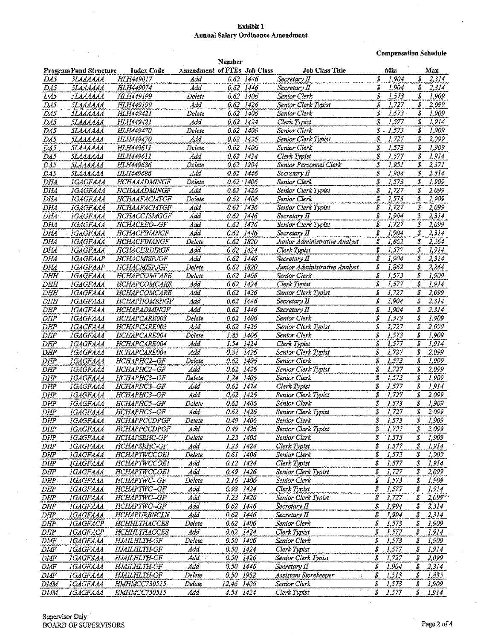#### Exhibit 1 Annual Salary Ordinance Amendment

**Compensation Schedule-**

|                  |                                                    |                     |                             | Number        |           |                                         | atha an ara aifin an ama ainm an air ann. Tha ann an an |                                    |
|------------------|----------------------------------------------------|---------------------|-----------------------------|---------------|-----------|-----------------------------------------|---------------------------------------------------------|------------------------------------|
|                  | <b>ProgramFund Structure</b>                       | <b>Index Code</b>   | Amendment of FTEs Job Class |               |           | <b>Job Class Title</b>                  | Min                                                     | Max                                |
| DA5              | SLAAAAAA                                           | HLH449017           | Add                         |               | 0.62 1446 | Secretary II                            | \$<br>1.904                                             | \$<br>2,314                        |
| DA5              | SLAAAAAA                                           | <b>HLH449074</b>    | Add                         | 0.62 1446     |           | Secretary II                            | Ĵ<br>1,904                                              | \$<br>2,314                        |
| $\overline{D45}$ | <b>SLAAAAAA</b>                                    | HLH449199           | Delete                      | $0.62$ 1406   |           | Senior Clerk                            | Ś<br>1,573                                              | \$<br>1,909                        |
| DA5              | <b><i><u><i><u><i>SLAAAAAA</i></u></i></u></i></b> | HLH449199           | Ada                         | 0.62 1426     |           | Senior Clerk Typist                     | 5<br>1,727                                              | \$<br>2,099                        |
| DA5              | 5LAAAAAA                                           | HLH449421           | Delete                      | 0.62 1406     |           | <b>Senior Clerk</b>                     | \$<br>1,575                                             | \$<br>1,909                        |
| DA5              | 5LAAAAAA                                           | HLH449421           | Add                         | 0.62          | 1424      | Clerk Typist                            | \$<br>1,577                                             | 1,914<br>\$                        |
| DA5              | <b>SLAAAAAA</b>                                    | <b>HLH449470</b>    | Delete                      | 0.62          | 1406      | Senior Clerk                            | $\hat{s}$ .<br>1,573                                    | \$<br>1,909                        |
| DA5              | <b>SLAAAAAA</b>                                    | HLH449470           | Add                         | $0.62$ 1426   |           | Senior Clerk Typist                     | \$<br>1,727                                             | S<br>2,099                         |
| DA5              | <b>SLAAAAAA</b>                                    | <b>FILFI449611</b>  | Delete                      | 0.62 1406     |           | Senior Clerk                            | \$<br>1,573                                             | \$<br>1,909                        |
| DA5              | <b><i><u> 5LAAAAAA</u></i></b>                     | HLH449611           | Add                         | 0.62          | 1424      | Clerk Typist                            | \$<br>1,577                                             | \$<br>1,914                        |
| $D\overline{A5}$ | SLAAAAAA                                           | <b>HLH449686</b>    | Delete                      | 0.62          | 1204      | Senior Personnel Clerk                  | \$<br>1,951                                             | Š<br>2,371                         |
| DAS              | <u> 51.АААААА</u>                                  | HLH449686           | Add                         | 0.62          | 1446      | Secretary II                            | \$<br>1,904                                             | \$<br>2,314                        |
| DHA              | <b>JGAGFAAA</b>                                    | <b>HCHAAADMINGF</b> | Delete                      | $0.62 - 1406$ |           | Senior Clerk                            | \$<br>1,573                                             | Ş.<br>1,909                        |
| DHA              | IGAGFAAA                                           | HCHAAADMINGF        | Add                         | 0.62          | 1426      | Senior Clerk Typist                     | S<br>1,727                                              | \$<br>2,099                        |
| DHA              | IGAGFAAA                                           | HCHAAFACMTGF        | Delete                      | 0.62          | 1406      | Senior Clerk                            | \$<br>1,573                                             | \$<br>1,909                        |
| DHA              | IGAGFAAA                                           | HCHAAFACMTGF        | Add                         | 0.62          | 1426      | Senior Clerk Typist                     | \$<br>1,727                                             | 2,099<br>S                         |
| DHA.             | IGAGFAAA                                           | HCHACCTSMGGF        | Add                         | 0.62 1446     |           | Secretary II                            | \$<br>1,904                                             | Ĵ<br>2,314                         |
| DHA              | <b>IGAGFAAA</b>                                    | HCHACEEO-GF         | Add                         | 0.62          | 1426      | Senior Clerk Typist                     | \$<br>1,727                                             | \$<br>2,099                        |
| DHA              | IGAGFAAA                                           | HCHACFINANGF        | Add                         | 0.62          | 1446      | Secretary II                            | \$<br>1,904                                             | \$<br>2,314                        |
| DHA              | <b>IGAGFAAA</b>                                    | <b>HCHACFINANGF</b> | <b>Delete</b>               | 0.62          | 1820      | Junior Administrative Analyst           | Ŝ<br>1,862                                              | \$<br>2,264                        |
| DHA              | <i><b>IGAGFAAA</b></i>                             | HCHACHRDIRGF        | Add                         | $0.62 -$      | 1424      | Clerk Typist                            | S<br>1,577                                              | \$<br>1,914                        |
| DHA              | <b>IGAGFAAP</b>                                    | HCHACMISPJGF        | Add                         | 0.62          | 1446      | Secretary II                            | Ŝ<br>1,904                                              | \$<br>2,314                        |
| DHA              | <b>IGAGFAAP</b>                                    | HCHACMISPJGF        | Delete                      | 0.62          | 1820      | Junior Administrative Analyst           | $\overline{s}$<br>1,862                                 | \$<br>2,264                        |
| DHH              | <b>IGAGFAAA</b>                                    | <b>HCHAPCOMCARE</b> | Delete                      | 0.62          | 1406      | Senior Clerk                            | \$<br>1,573                                             | \$<br>1,909                        |
| DHH              | <i><b>IGAGFAAA</b></i>                             | HCHAPCOMCARE        | Add                         | 0.62          | 1424      | Clerk Typist                            | \$<br>1,577                                             | \$<br>1,914                        |
| DHH              | IGAGFAAA                                           | HCHAPCOMCARE        | Add                         | 0.62          | 1426      | Senior Clerk Typist                     | \$<br>1,727                                             | \$<br>2,099                        |
| DHH              | <b>IGAGFAAA</b>                                    | <b>HCHAPHOMEHGF</b> | Add                         | 0.62          | 1446      | Secretary II                            | \$<br>1,904                                             | \$<br>2,314                        |
| DHP              | IGAGFAAA                                           | HCHAPADMINGF        | Add                         | 0.62          | 1446      | Secretary II                            | \$<br>1,904                                             | \$<br>2,314                        |
| DHP              | <b>IGAGFAAA</b>                                    | HCHAPCARE003        | Delete                      | 0.62          | 1406      | Senior Clerk                            | \$<br>1,573                                             | \$<br>1,909                        |
| DHP              | <b>IGAGFAAA</b>                                    | HCHAPCARE003        | Add                         | 0.62          | 1426      | Senior Clerk Typist                     | \$<br>1,727                                             | Ÿ,<br>2,099                        |
| DHP              | <i><b>JGAGFAAA</b></i>                             | HCHAPCARE004        | Delete                      | 1.85          | 1406      | <b>Senior Clerk</b>                     | Ŝ<br>1,573                                              | Ŝ<br>1,909                         |
| <b>DHP</b>       | <b>IGAGFAAA</b>                                    | HCHAPCARE004        | Add                         | 1.54          | 1424      | Clerk Typist                            | \$<br>1,577                                             | Ŝ<br>1,914                         |
| DHP              | IGAGFAAA                                           | HCHAPCARE004        | Add                         | 0.31          | 1426      | Senior Clerk Typist                     | \$<br>1,727                                             | \$<br>2,099                        |
| DHP              | <b>IGAGFAAA</b>                                    | HCHAPHC2-GF         | Delete                      | 0.62          | 1406      | Senior Clerk                            | Š<br>1,573                                              | \$<br>1,909                        |
| DHP              | <b>IGAGFAAA</b>                                    | HCHAPHC2-GF         | Add                         | 0.62          | 1426      | Senior Clerk Typist                     | S<br>1,727                                              | Ĵ<br>2,099                         |
| DHP              | <b>IGAGFAAA</b>                                    | HCHAPHC3-GF         | Delete                      | 1.24          | 1406      | Senior Clerk                            | \$<br>1,573                                             | \$<br>1,909                        |
| <b>DHP</b>       | IGAGFAAA                                           | HCHAPHC3-GF         | Add                         | 0.62          | 1424      | Clerk Typist                            | \$<br>1,577                                             | 1,914<br>\$                        |
| DHP              | <i><b>IGAGFAAA</b></i>                             | <b>HCHAPHC3-GF</b>  | Add                         | 0.62          | 1426      | Senior Clerk Typist                     | S<br>1,727                                              | S<br>2,099                         |
| DHP              | <b>IGAGFAAA</b>                                    | <b>HCHAPHC5-GF</b>  | Delete                      | 0.62          | 1406      | Senior Clerk                            | \$<br>1,573                                             | \$<br>1,909                        |
| DHP              | IGAGFAAA                                           | <b>HCHAPHCS-GF</b>  | Add                         | 0.62 1426     |           | <b>Senior Clerk Typist</b>              | \$<br>1,727                                             | S<br>2,099                         |
| <b>DHP</b>       | <b>IGAGFAAA</b>                                    | <b>HCHAPPCCDPGF</b> | Delete                      | 0.49 1406     |           | Senior Clerk                            | \$<br>1,573                                             | \$<br>1,909                        |
| <b>DHP</b>       | <b>IGAGFAAA</b>                                    | <b>HCHAPPCCDPGF</b> | Add                         | $0.49$ $1426$ |           | Senior Clerk Typist                     | \$<br>1,727                                             | \$<br>2,099                        |
| DHP              | IGAGFAAA                                           | <b>HCHAPSEHC-GF</b> | Delete                      | 1.23 1406     |           | <b>Senior Clerk</b>                     | S<br>7,573                                              | ŝ<br>1,909                         |
| DHP              | <b>IGAGFAAA</b>                                    | <b>HCHAPSEHC-GF</b> | Add                         | 1.23 1424     |           | <b>Clerk Typist</b>                     | \$<br>1,577                                             | $\pmb{\mathcal{S}}$<br>1,914       |
| <b>DHP</b>       | IGAGFAAA                                           | <b>HCHAPTWCCOEI</b> | Delete                      | 0.61 1406     |           | Senior Clerk                            | \$<br>1,573                                             | S<br>1,909                         |
| DHP              | <i><b>IGAGFAAA</b></i>                             | <b>HCHAPTWCCOEI</b> | Add                         | 0.12 1424     |           | Clerk Typist                            | 1,577<br>\$                                             | \$<br>1,914                        |
| DHP              | <b>IGAGFAAA</b>                                    | <b>HCHAPTWCCOEI</b> | Add                         | $0.49$ 1426   |           | Senior Clerk Typist                     | \$<br>1,727                                             | \$<br>2,099                        |
| <b>DHP</b>       | <b>IGAGFAAA</b>                                    | HCHAPTWC-GF         | Delete                      | 2.16 1406     |           | Senior Clerk                            | \$<br>1,573                                             | Ţ.<br>1,909                        |
| DHP              | IGAGFAAA                                           | HCHAPTWC-GF         | Add                         | 0.93 1424     |           | Clerk Typist                            | \$<br>1,577                                             | Ĵ.<br>1,914                        |
| <b>DHP</b>       | <b>IGAGFAAA</b>                                    | HCHAPTWC-GF         | Add                         | 1.23          | 1426      | Senior Clerk Typist                     | S<br>1,727                                              | \$<br>$2,099$ <sup>-3</sup>        |
| DHP              | <b>IGAGFAAA</b>                                    | HCHAPTWC-GF         | Add                         | 0.62 1446     |           | Secretary II                            | 1,904<br>\$                                             | \$<br>2,314                        |
| DHP.             | <b>IGAGFAAA</b>                                    | HCHAPURBNCLN        | Add                         | $0.62$ 1446   |           | Secretary II                            | \$<br>1,904                                             | \$<br>2, 314                       |
| DHP              | <b>IGAGFACP</b>                                    | <b>HCHHLTHACCES</b> | Delete                      | 0.62 1406     |           | Senior Clerk                            | \$<br>1,573                                             | \$<br>1,909                        |
| <b>DHP</b>       | <b>IGAGFACP</b>                                    | HCHHLTHACCES        | Add                         | 0.62          | 1424      | Clerk Typist                            | \$<br>1,577                                             | \$<br>1,914                        |
|                  |                                                    |                     | Delete                      | $0.50$ $1406$ |           | Senior Clerk                            | 1,573                                                   |                                    |
| DMF              | IGAGFAAA                                           | <b>HJAILHLIH-GF</b> | Add                         | 0.50 1424     |           |                                         | \$<br>.1,577                                            | \$<br>1,909<br>$\pmb{S}$<br>1,914  |
| DMF              | IGAGFAAA                                           | HJAILHLTH-GF        |                             | 0.50 1426     |           | Clerk Typist<br>ta p                    | \$                                                      | s                                  |
| DMF              | <b>IGAGFAAA</b>                                    | HJAILHLTH-GF        | Add                         |               |           | Senior Clerk Typist                     | \$<br>1,727                                             | 2,099<br>$\overline{\mathcal{S}}$  |
| DMF              | <b>ІСАСЕЛАА</b>                                    | <b>HJAILHLTH-GF</b> | Add                         | 0.50 1446     |           | Secretary II                            | \$<br>1,904                                             | 2,314                              |
| DMF              | <b>IGAGFAAA</b>                                    | <b>HJAILHLTH-GF</b> | Deiete                      | 0.50 1932     |           | Assistant Storekeeper<br>$\tilde{\chi}$ | 1,513<br>S                                              | \$<br>1,835                        |
| DMM              | IGAGFAAA                                           | HMHMCC730515        | Delete                      | 12.46 1406    |           | Sentor Clerk                            | 1,573<br>\$                                             | \$<br>1,909                        |
| DMM              | IGAGFAAA                                           | HMHMCC730515        | Add                         | 4.54 1424     |           | Clerk Typist                            | \$<br>1,577                                             | $\overline{\mathbf{s}}$ .<br>1,914 |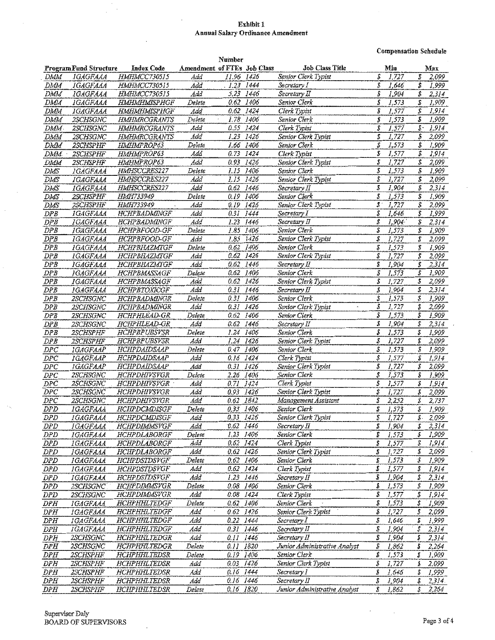#### Exhibitl Annual Salary Ordinance Amendment

Compensation Schedule

|            |                        |                     |                             | Number        |           |                               |                  |       |           |             |
|------------|------------------------|---------------------|-----------------------------|---------------|-----------|-------------------------------|------------------|-------|-----------|-------------|
|            | Program Fund Structure | <b>Index Code</b>   | Amendment of FTEs Job Class |               |           | <b>Job Class Title</b>        |                  | Min   |           | Max         |
| DMM        | <b>IGAGFAAA</b>        | HMHMCC730515        | Add                         | 11.96 1426    |           | Senior Clerk Typist           | S                | 1,727 | Ŝ.        | 2,099       |
|            |                        |                     |                             |               |           |                               | \$               |       | \$.       |             |
| DMM        | <i><b>IGAGFAAA</b></i> | HMHMCC730515        | Add                         | $. 1.23$ 1444 |           | Secretary I                   |                  | 1,646 |           | 1,999       |
| DMM        | <b>IGAGFAAA</b>        | HMHMCC730515        | Add                         |               | 5.23 1446 | Secretary II                  | Ŝ                | 1,904 | \$        | 2,314       |
| DMM        | IGAGFAAA               | HMHMHMISPHGF        | Delete                      | 0.62 1406     |           | Senior Clerk                  | \$               | 1,573 | \$        | 1,909       |
| DMM        | <i>IGAGFAAA</i>        | HMHMHMISPHGF        | Add                         | 0.62          | 1424      | Clerk Typist                  | ŝ                | 1,577 | \$        | 1,914       |
|            |                        |                     |                             | 1.78          |           |                               | S                | 1,573 | \$        | 1,909       |
| DMM        | <b>2SCHSGNC</b>        | <b>HMHMRCGRANTS</b> | Delete                      |               | 1406      | Senior Clerk                  |                  |       |           |             |
| DMM        | 2SCHSGNC               | <b>HMHMRCGRANTS</b> | Add                         | 0.55          | 1424      | Clerk Typist                  | Š                | 1,577 |           | $5 - 1,914$ |
| DMM        | 2SCHSGNC               | <b>HMHMRCGRANTS</b> | Add                         | 1.23          | 1426      | Senior Clerk Typist           | S                | 1,727 | S         | 2,099       |
| DMM        | <b>2SCHSPHF</b>        | <b>HMHMPROP63</b>   | Delete                      | 1.66 1406     |           | Senior Clerk                  | \$               | 1,573 | \$        | 1,909       |
| DMM.       | 2SCHSPHF               | HMHMPROP63          | Add                         | 0.73          | 1424      | Clerk Typist                  | ŝ                | 1,577 | \$        | 1,914       |
|            |                        |                     |                             |               |           |                               | S                |       |           |             |
| DMM        | <b>2SCHSPHF</b>        | <b>HMHMPROP63</b>   | Add                         | 0.93 1426     |           | Senior Clerk Typist           |                  | 1,727 | \$        | 2,099       |
| DMS        | 1GAGFAAA               | HMHSCCRES227        | Delete                      | 1.15 1406     |           | Senior Clerk                  | \$               | 1,573 | \$        | 1,909       |
| DMS        | IGAGFAAA               | HMHSCCRES227        | Add                         | 1.15          | 1426      | Senior Clerk Typist           | S                | 1,727 | \$        | 2,099       |
| DMS        | IGAGFAAA               | <b>HMHSCCRES227</b> | Add                         | 0.62 1446     |           | Secretary II                  | \$               | 1,904 | S         | 2,314       |
| DMS        | <b>2SCHSPHF</b>        | HMH733949           | Delete                      | 0.19          | 1406      | Senior Clerk                  | \$               | 1.573 | \$        | 1,909       |
|            |                        |                     |                             |               |           |                               | $\mathfrak{s}$ . |       | \$        | 2,099       |
| DMS        | 2SCHSPHF               | <b>HMH733949</b>    | Add                         | 0.19 1426     |           | Senior Clerk Typist           |                  | 1,727 |           |             |
| DPB        | <b>IGAGFAAA</b>        | <b>HCHPBADMINGF</b> | Add                         | 0.3I          | 1444      | Secretary 1                   | S                | 1,646 | \$        | 1,999       |
| DPB        | IGAGFAAA               | HCHPBADMINGF        | Add                         | 1.23          | 1446      | Secretary II                  | S                | 1,904 | \$        | 2,314       |
| DPB        | <i><b>IGAGFAAA</b></i> | HCHPBFOOD-GF        | Delete                      | 1.85          | 1406      | Senior Clerk                  | Ś                | 1,573 | \$        | 1,909       |
| DPB        | <i><b>IGAGFAAA</b></i> | HCHPBFOOD-GF        | Add                         |               | 1.85 1426 | Senior Clerk Typist           | S                | 1,727 | \$        | 2,099       |
|            |                        |                     |                             |               |           |                               |                  |       |           |             |
| DPB        | <b>IGAGFAAA</b>        | HCHPBHAZMIGF        | Delete                      | 0.62 1406     |           | Senior Clerk                  | s                | 1,573 | \$        | 1,909       |
| DPB        | IGAGFAAA               | HCHPBHAZMTGF        | Add                         | 0.62 1426     |           | Senior Clerk Typist           | \$               | 1,727 | S         | 2,099       |
| DPB        | <i><b>IGAGFAAA</b></i> | HCHPBHAZMIGF        | Add                         | 0.62          | 1446      | Secretary II                  | S                | 1,904 | Ŝ         | 2,314       |
| DPB        | <b>IGAGFAAA</b>        | <b>HCHPBMASSAGF</b> | Delete                      | 0.62 1406     |           | Senior Clerk                  | \$               | 1,573 | \$        | 1.909       |
| DPB        |                        | HCHPBMASSAGF        | Add                         | 0.62          | 1426      | Senior Clerk Typist           | S                | 1,727 | \$        | 2,099       |
|            | <i>IGAGFAAA</i>        |                     |                             |               |           |                               |                  |       |           |             |
| DPB        | <i>IGAGFAAA</i>        | <b>HCHPBTOXICGF</b> | Add                         | $0.31$ 1446   |           | Secretary II                  | Ŝ                | 1,904 | Ŝ         | 2,314       |
| DPB        | 2SCHSGNC               | HCHPBADMINGR        | Delete                      | 0.3I          | 1406      | Senior Clerk                  | Ŝ                | 1,573 | S         | 1,909       |
| DPB        | 2SCHSGNC               | HCHPBADMINGR        | Add                         | 0.31          | 1426      | Senior Clerk Typist           | ŝ                | 1,727 | s         | 2,099       |
| DPB        | <b>2SCHSGNC</b>        | HCHPHLEAD-GR        | Delete                      | 0.62          | 1406      | Senior Clerk                  | S                | 1,573 | \$        | 1,909       |
|            |                        |                     | Add                         | 0.62          | 1446      |                               | S                | 1,904 | s         | 2,314       |
| DPB        | 2SCHSGNC               | HCHPHLEAD-GR        |                             |               |           | Secretary II                  |                  |       |           |             |
| DPB        | 2SCHSPHF               | <b>HCHPBPUBSVSR</b> | Delete                      | 1.24          | 1406      | Senior Clerk                  | \$               | 1,573 | \$        | 1,909       |
| DP B       | 2SCHSPHF               | <b>HCHPBPUBSVSR</b> | Add                         | 1.24          | 1426      | Senior Clerk Typist           | \$               | 1,727 | \$        | 2,099       |
| DPC        | <b>IGAGFAAP</b>        | <b>HCHPDAIDSAAP</b> | Delete                      | 0.47          | 1406      | Sanior Clerk                  | \$               | 1,573 | \$        | 1,909       |
| DPC        | <i>IGAGFAAP</i>        | HCHPDAIDSAAP        | Add                         | 0.16 1424     |           | Clerk Typist                  | \$               | 1,577 | \$        | 1,914       |
|            |                        | <b>HCHPDAIDSAAP</b> | Add                         | 0.31          | 1426      | Senior Clerk Typist           | \$               | 1,727 | S         | 2,099       |
| $_{DPC}$   | <i>IGAGFAAP</i>        |                     |                             |               |           |                               |                  |       |           |             |
| $_{DPC}$   | <i>2SCHSGNC</i>        | HCHPDHIVSVGR        | Delete                      | 2.26 1406     |           | Senior Clerk                  | Ŝ                | 1,573 | S         | 1,909       |
| DPC        | 2SCHSGNC               | HCHPDHIVSVGR        | Add                         | 0.71 1424     |           | Clerk Typist                  | \$               | 1,577 | \$        | 1,914       |
| $_{DPC}$   | <i>2SCHSGNC</i>        | HCHPDHIVSVGR        | Add                         | 0.93 1426     |           | Senior Clerk Typist           | Ŝ                | 1,727 | \$        | 2,099       |
| DPC        | 2SCHSGNC               | HCHPDHIYSVGR        | Ádd                         | 0.62          | 1842      | Management Assistant          | s                | 2,252 | \$        | 2,737       |
|            |                        |                     |                             | 0.33 1406     |           | Senior Clerk                  | \$               | 1,573 | \$        | 1,909       |
| DPD        | 1GAGFAAA               | HCHPDCMDISGF        | Delete                      |               |           |                               |                  | 1.727 |           |             |
| DPD        | <b>IGAGFAAA</b>        | HCHPDCMDISGF        | Add                         | 0.33 1426     |           | Senior Clerk Typist           | \$               |       | \$.       | 2.099       |
| DPD        | <i>IGAGFAAA</i>        | HCHPDIMMSVGF        | Add                         | 0.62 1446     |           | Secretary II                  | \$               | J.904 | s.        | 2,314       |
| DPD        | IGAGFAAA               | HCHPDLABORGF        | Delete                      | 1.23 1406     |           | Senior Clerk                  | S                | 1,573 | \$        | 1,909       |
| DPD        | IGAGFAAA               | HCHPDLABORGF        | Add                         | 0.62 1424     |           | Clerk Typist                  | \$               | 1,577 | \$        | 1,914       |
|            |                        | HCHPDLABORGF        | Add                         | 0.62 1426     |           | Senior Clerk Typist           | S                | 1,727 | \$        | 2,099       |
| DPD        | IGAGFAAA               |                     |                             |               |           |                               |                  |       |           |             |
| DPD        | <b>IGAGFAAA</b>        | <b>HCHPDSTDSVGF</b> | Delete                      | 0.62 1406     |           | Senior Clerk                  | S                | 1,573 | `\$       | 1,909       |
| DPD        | <b>IGAGFAAA</b>        | HCHPDSTDSVGF        | Add                         | 0.62 1424     |           | Clerk Typist                  | s                | 1,577 | \$        | 1,914       |
| DPD        | IGAGFAAA               | <b>HCHPDSTDSVGF</b> | Add                         | 1.23 1446     |           | Secretary II                  | \$               | 1,904 | \$        | 2,314       |
| DPD        | 2SCHSGNC               | HCHPDIMMSVGR        | Delete                      | 0.08 1406     |           | Senior Clerk                  | \$               | 1,573 | $\vec{S}$ | 1,909       |
|            |                        | <b>HCHPDIMMSVGR</b> | Add                         | 0.08 1424     |           | Clerk Typist                  | \$               | 1,577 | \$        | 1,914       |
| DPD        | 2SCHSGNC               |                     |                             |               |           |                               |                  |       |           |             |
| DFH        | IGAGFAAA               | HCHPHHLTEDGF        | Delete                      | 0.62 1406     |           | Senior Clerk                  | \$               | 1,573 | \$        | 1,909       |
| DPH        | IGAGFAAA               | HCHPHHLTEDGF        | Add                         | 0.62 1426     |           | Senior Clerk Typist           | \$               | 1,727 | \$        | 2,099       |
| DPH        | 1GAGFAAA               | HCHPHHLTEDGF        | Add                         | 0.22 1444     |           | Secretary I                   | \$               | 1,646 | S         | 1,999       |
| DPH        | <b>IGAGFAAA</b>        | <b>HCHPHHLTEDGF</b> | Add                         | 0.31 1446     |           | Secretary II                  | \$               | 1,904 | \$        | 2,314       |
|            |                        |                     |                             |               |           |                               | \$               |       |           |             |
| DPH        | <b>2SCHSGNC</b>        | HCHPHHLTEDGR        | Add                         | 0.11 1446     |           | Secretary II                  |                  | 1,904 | \$        | 2,314       |
| DPH        | 2SCHSGNC               | HCHPHHLTEDGR        | Delete                      | 0.11 1820     |           | Junior Administrative Analyst | S                | 1,862 | \$        | 2,264       |
| DPH        | 2SCHSPHF               | HCHPHHLTEDSR        | Delete                      | 0.19 1406     |           | Senior Clerk                  | S                | 1,573 | s         | 1,909       |
| DPH        | <b>2SCHSPHF</b>        | HCHPHHLTEDSR        | Add                         | 0.03 1426     |           | Senior Clerk Typist           | \$               | 1,727 | \$        | 2,099       |
| DPH        | <b>2SCHSPHF</b>        | HCHPHHLTEDSR        | Add                         | 0.16 1444     |           | Secretary I                   | S                | 1,646 | \$        | 1,999       |
|            |                        |                     |                             |               |           |                               |                  |       |           |             |
| DPH        | 2SCHSPHF               | HCHPHHLTEDSR        | Add                         | 0.16 1446     |           | Secretary II                  | \$               | I,904 | \$        | 2,314       |
| <b>DPH</b> | 2SCHSPHF               | HCHPHHLTEDSR        | Delete                      | 0.16 1820     |           | Junior Administrative Analyst | Ŝ                | 1,862 | \$.       | 2,264       |

Supervisor Daly BOARD OF SUPERVISORS Page 3 of 4